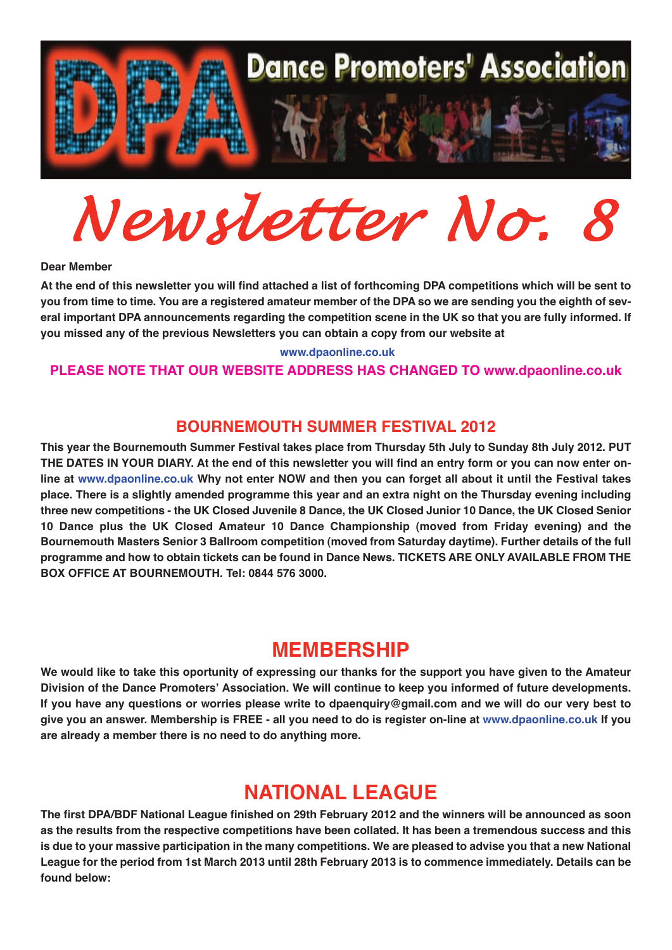

*Newsletter No. 8*

#### **Dear Member**

At the end of this newsletter you will find attached a list of forthcoming DPA competitions which will be sent to you from time to time. You are a registered amateur member of the DPA so we are sending you the eighth of several important DPA announcements regarding the competition scene in the UK so that you are fully informed. If **you missed any of the previous Newsletters you can obtain <sup>a</sup> copy from our website at**

#### **<www.dpaonline.co.uk>**

#### **PLEASE NOTE THAT OUR WEBSITE ADDRESS HAS CHANGED TO www.dpaonline.co.uk**

### **BOURNEMOUTH SUMMER FESTIVAL 2012**

This year the Bournemouth Summer Festival takes place from Thursday 5th July to Sunday 8th July 2012. PUT THE DATES IN YOUR DIARY. At the end of this newsletter you will find an entry form or you can now enter online at <www.dpaonline.co.uk> Why not enter NOW and then you can forget all about it until the Festival takes place. There is a slightly amended programme this year and an extra night on the Thursday evening including three new competitions - the UK Closed Juvenile 8 Dance, the UK Closed Junior 10 Dance, the UK Closed Senior **10 Dance plus the UK Closed Amateur 10 Dance Championship (moved from Friday evening) and the Bournemouth Masters Senior 3 Ballroom competition (moved from Saturday daytime). Further details of the full** programme and how to obtain tickets can be found in Dance News. TICKETS ARE ONLY AVAILABLE FROM THE **BOX OFFICE AT BOURNEMOUTH. Tel: 0844 576 3000.**

## **MEMBERSHIP**

We would like to take this oportunity of expressing our thanks for the support you have given to the Amateur **Division of the Dance Promoters' Association. We will continue to keep you informed of future developments.** If you have any questions or worries please write to [dpaenquiry@gmail.com](mailto:dpaenquiry@googlemail.com) and we will do our very best to give you an answer. Membership is FREE - all you need to do is register on-line at <www.dpaonline.co.uk> If you **are already <sup>a</sup> member there is no need to do anything more.**

## **NATIONAL LEAGUE**

The first DPA/BDF National League finished on 29th February 2012 and the winners will be announced as soon as the results from the respective competitions have been collated. It has been a tremendous success and this is due to your massive participation in the many competitions. We are pleased to advise you that a new National League for the period from 1st March 2013 until 28th February 2013 is to commence immediately. Details can be **found below:**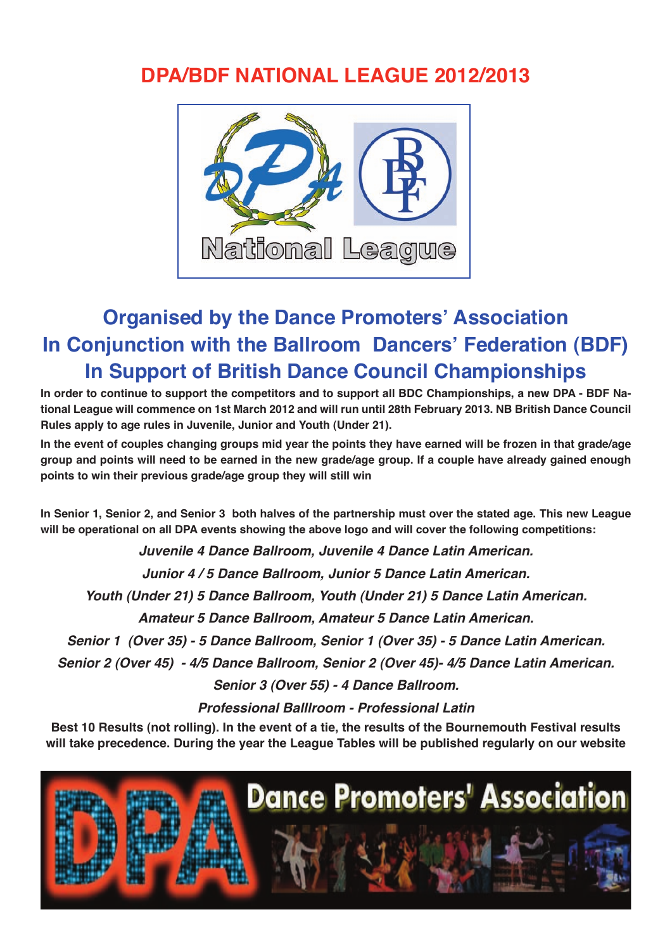## **DPA/BDF NATIONAL LEAGUE 2012/2013**



# **Organised by the Dance Promoters' Association In Conjunction with the Ballroom Dancers' Federation (BDF) In Support of British Dance Council Championships**

In order to continue to support the competitors and to support all BDC Championships, a new DPA - BDF National League will commence on 1st March 2012 and will run until 28th February 2013. NB British Dance Council **Rules apply to age rules in Juvenile, Junior and Youth (Under 21).**

In the event of couples changing groups mid year the points they have earned will be frozen in that grade/age group and points will need to be earned in the new grade/age group. If a couple have already gained enough **points to win their previous grade/age group they will still win**

In Senior 1, Senior 2, and Senior 3 both halves of the partnership must over the stated age. This new League **will be operational on all DPA events showing the above logo and will cover the following competitions:**

*Juvenile 4 Dance Ballroom, Juvenile 4 Dance Latin American.*

*Junior 4 / 5 Dance Ballroom, Junior 5 Dance Latin American.*

*Youth (Under 21) 5 Dance Ballroom, Youth (Under 21) 5 Dance Latin American.*

*Amateur 5 Dance Ballroom, Amateur 5 Dance Latin American.*

*Senior 1 (Over 35) - 5 Dance Ballroom, Senior 1 (Over 35) - 5 Dance Latin American.*

*Senior 2 (Over 45) - 4/5 Dance Ballroom, Senior 2 (Over 45)- 4/5 Dance Latin American.*

*Senior 3 (Over 55) - 4 Dance Ballroom.*

*Professional Balllroom - Professional Latin*

Best 10 Results (not rolling). In the event of a tie, the results of the Bournemouth Festival results **will take precedence. During the year the League Tables will be published regularly on our website**

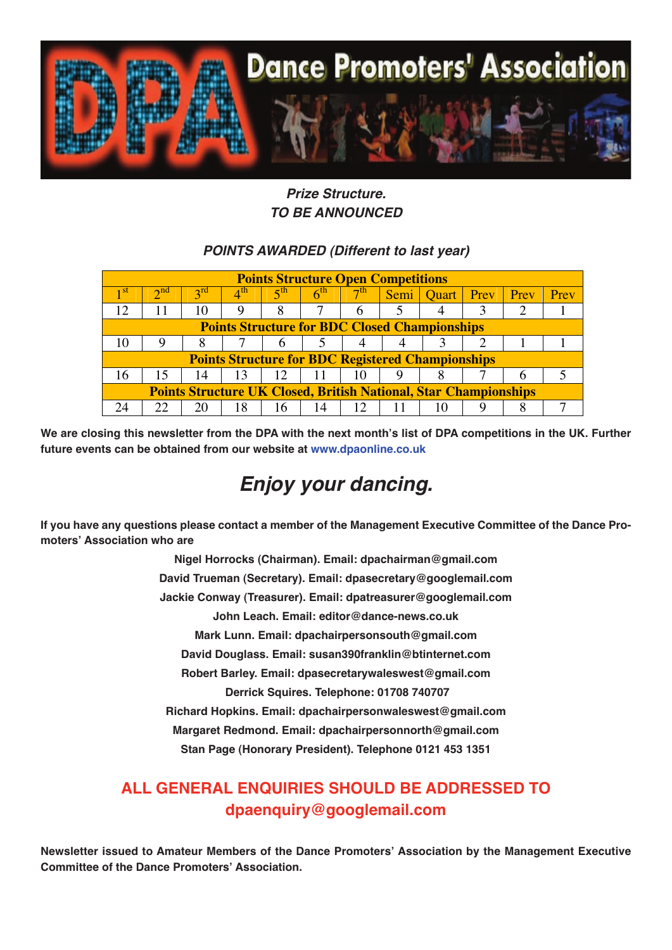

## *Prize Structure. TO BE ANNOUNCED*

## *POINTS AWARDED (Different to last year)*

| <b>Points Structure Open Competitions</b>                               |           |                 |              |                 |                 |           |      |              |      |      |      |
|-------------------------------------------------------------------------|-----------|-----------------|--------------|-----------------|-----------------|-----------|------|--------------|------|------|------|
| 1 St                                                                    | $\cap$ nd | $2^{\text{rd}}$ | $4^{\rm th}$ | 5 <sup>th</sup> | 6 <sup>th</sup> | $\neg$ th | Semi | <b>Ouart</b> | Prev | Prev | Prev |
|                                                                         |           | 10              | 9            | 8               |                 | 6         |      |              |      |      |      |
| <b>Points Structure for BDC Closed Championships</b>                    |           |                 |              |                 |                 |           |      |              |      |      |      |
|                                                                         |           |                 |              |                 |                 |           |      |              |      |      |      |
| <b>Points Structure for BDC Registered Championships</b>                |           |                 |              |                 |                 |           |      |              |      |      |      |
| 16                                                                      |           | 14              | -13          | 12              | -11             | 10        |      |              |      |      |      |
| <b>Points Structure UK Closed, British National, Star Championships</b> |           |                 |              |                 |                 |           |      |              |      |      |      |
|                                                                         |           |                 | 18           | 16              | 14              |           |      |              |      |      |      |

We are closing this newsletter from the DPA with the next month's list of DPA competitions in the UK. Further **future events can be obtained from our website at <www.dpaonline.co.uk>**

# *Enjoy your dancing.*

If you have any questions please contact a member of the Management Executive Committee of the Dance Pro**moters' Association who are**

> **Nigel Horrocks (Chairman). Email: dpachairman@gmail.com David Trueman (Secretary). Email: dpasecretary@googlemail.com Jackie Conway (Treasurer). Email: dpatreasurer@googlemail.com John Leach. Email: editor@dance-news.co.uk Mark Lunn. Email: dpachairpersonsouth@gmail.com David Douglass. Email: susan390franklin@btinternet.com Robert Barley. Email: dpasecretarywaleswest@gmail.com Derrick Squires. Telephone: 01708 740707 Richard Hopkins. Email: dpachairpersonwaleswest@gmail.com Margaret Redmond. Email: dpachairpersonnorth@gmail.com Stan Page (Honorary President). Telephone 0121 453 1351**

## **ALL GENERAL ENQUIRIES SHOULD BE ADDRESSED TO dpaenquiry@googlemail.com**

**Newsletter issued to Amateur Members of the Dance Promoters' Association by the Management Executive Committee of the Dance Promoters' Association.**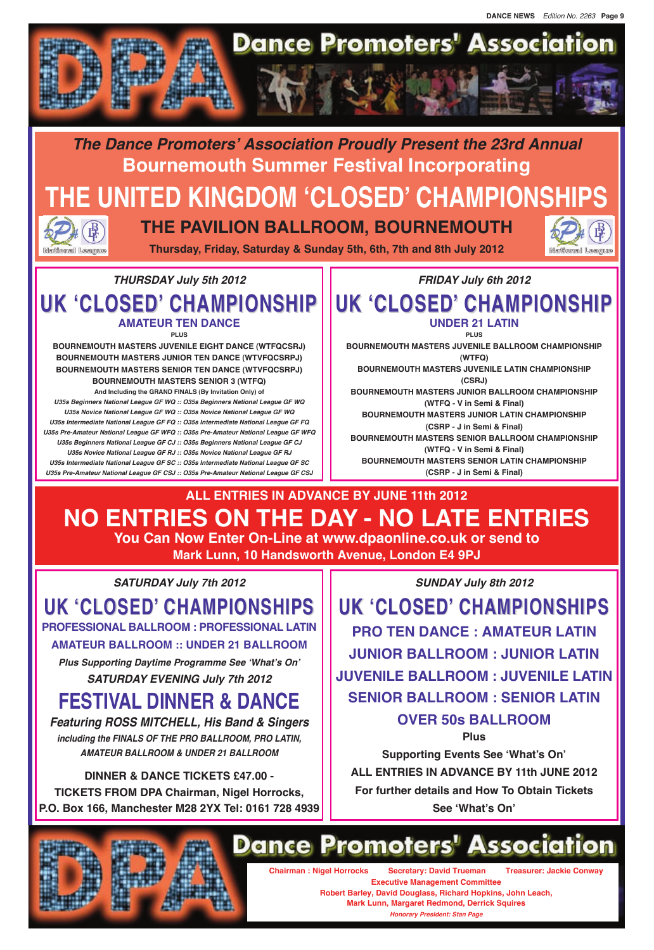## **THURSDAY July 5th 2012 UK 'CLOSED' CHAMPIONSHIP AMATEUR TEN DANCE PLUS**

**BOURNEMOUTH MASTERS JUVENILE EIGHT DANCE (WTFQCSRJ) BOURNEMOUTH MASTERS JUNIOR TEN DANCE (WTVFQCSRPJ) BOURNEMOUTH MASTERS SENIOR TEN DANCE (WTVFQCSRPJ) BOURNEMOUTH MASTERS SENIOR 3 (WTFQ)**

**And Including the GRAND FINALS (By Invitation Only) of U35s Beginners National League GF WQ :: O35s Beginners National League GF WQ U35s Novice National League GF WQ :: O35s Novice National League GF WQ U35s Intermediate National League GF FQ :: O35s Intermediate National League GF FQ U35s Pre-Amateur National League GF WFQ :: O35s Pre-Amateur National League GF WFQ U35s Beginners National League GF CJ :: O35s Beginners National League GF CJ U35s Novice National League GF RJ :: O35s Novice National League GF RJ U35s Intermediate National League GF SC :: O35s Intermediate National League GF SC U35s Pre-Amateur National League GF CSJ :: O35s Pre-Amateur National League GF CSJ**

**FRIDAY July 6th 2012 UK 'CLOSED' CHAMPIONSHIP UNDER 21 LATIN PLUS BOURNEMOUTH MASTERS JUVENILE BALLROOM CHAMPIONSHIP (WTFQ) BOURNEMOUTH MASTERS JUVENILE LATIN CHAMPIONSHIP (CSRJ) BOURNEMOUTH MASTERS JUNIOR BALLROOM CHAMPIONSHIP (WTFQ - V in Semi & Final) BOURNEMOUTH MASTERS JUNIOR LATIN CHAMPIONSHIP (CSRP - J in Semi & Final) BOURNEMOUTH MASTERS SENIOR BALLROOM CHAMPIONSHIP (WTFQ - V in Semi & Final) BOURNEMOUTH MASTERS SENIOR LATIN CHAMPIONSHIP (CSRP - J in Semi & Final)**

**SATURDAY July 7th 2012**

**UK 'CLOSED' CHAMPIONSHIPS PROFESSIONAL BALLROOM : PROFESSIONAL LATIN**

**AMATEUR BALLROOM :: UNDER 21 BALLROOM**

**Plus Supporting Daytime Programme See 'What's On' SATURDAY EVENING July 7th 2012**

**FESTIVAL DINNER & DANCE**

**Featuring ROSS MITCHELL, His Band & Singers including the FINALS OF THE PRO BALLROOM, PRO LATIN, AMATEUR BALLROOM & UNDER 21 BALLROOM**

## **DINNER & DANCE TICKETS £47.00 - TICKETS FROM DPA Chairman, Nigel Horrocks, P.O. Box 166, Manchester M28 2YX Tel: 0161 728 4939**

**SUNDAY July 8th 2012**

**UK 'CLOSED' CHAMPIONSHIPS PRO TEN DANCE : AMATEUR LATIN JUNIOR BALLROOM : JUNIOR LATIN JUVENILE BALLROOM : JUVENILE LATIN SENIOR BALLROOM : SENIOR LATIN**

## **OVER 50s BALLROOM**

**Plus Supporting Events See 'What's On' ALL ENTRIES IN ADVANCE BY 11th JUNE 2012 For further details and How To Obtain Tickets See 'What's On'**



# **Dance Promoters' Association**

**Chairman : Nigel Horrocks Secretary: David Trueman Treasurer: Jackie Conway Executive Management Committee Robert Barley, David Douglass, Richard Hopkins, John Leach, Mark Lunn, Margaret Redmond, Derrick Squires**

**Honorary President: Stan Page**

**The Dance Promoters' Association Proudly Present the 23rd Annual Bournemouth Summer Festival Incorporating THE UNITED KINGDOM 'CLOSED' CHAMPIONSHIPS THE PAVILION BALLROOM, BOURNEMOUTH**





National League

**Thursday, Friday, Saturday & Sunday 5th, 6th, 7th and 8th July 2012**

**ALL ENTRIES IN ADVANCE BY JUNE 11th 2012 NO ENTRIES ON THE DAY - NO LATE ENTRIES You Can Now Enter On-Line at www.dpaonline.co.uk or send to Mark Lunn, 10 Handsworth Avenue, London E4 9PJ**

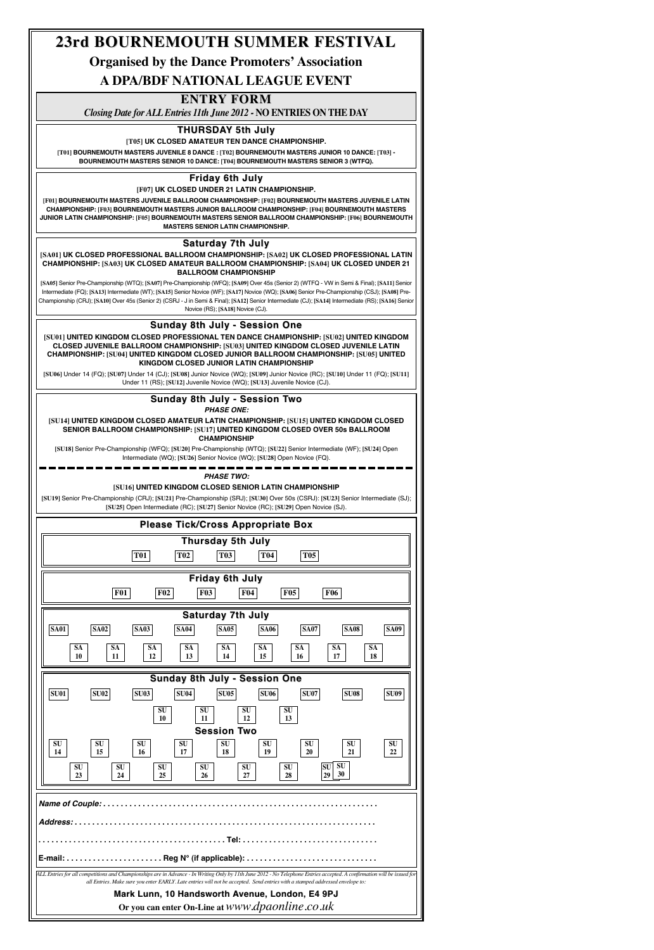## **Friday 6th July**

**[F07] UK CLOSED UNDER 21 LATIN CHAMPIONSHIP.**

**[F01] BOURNEMOUTH MASTERS JUVENILE BALLROOM CHAMPIONSHIP: [F02] BOURNEMOUTH MASTERS JUVENILE LATIN CHAMPIONSHIP: [F03] BOURNEMOUTH MASTERS JUNIOR BALLROOM CHAMPIONSHIP: [F04] BOURNEMOUTH MASTERS JUNIOR LATIN CHAMPIONSHIP: [F05] BOURNEMOUTH MASTERS SENIOR BALLROOM CHAMPIONSHIP: [F06] BOURNEMOUTH MASTERS SENIOR LATIN CHAMPIONSHIP.**

## **THURSDAY 5th July**

**[T05] UK CLOSED AMATEUR TEN DANCE CHAMPIONSHIP.**

**[T01] BOURNEMOUTH MASTERS JUVENILE 8 DANCE : [T02] BOURNEMOUTH MASTERS JUNIOR 10 DANCE: [T03] - BOURNEMOUTH MASTERS SENIOR 10 DANCE: [T04] BOURNEMOUTH MASTERS SENIOR 3 (WTFQ).**

#### **Saturday 7th July**

**[SA01] UK CLOSED PROFESSIONAL BALLROOM CHAMPIONSHIP: [SA02] UK CLOSED PROFESSIONAL LATIN CHAMPIONSHIP: [SA03] UK CLOSED AMATEUR BALLROOM CHAMPIONSHIP: [SA04] UK CLOSED UNDER 21 BALLROOM CHAMPIONSHIP**

**[SA05]** Senior Pre-Championship (WTQ); **[SA07]** Pre-Championship (WFQ); **[SA09]** Over 45s (Senior 2) (WTFQ - VW in Semi & Final); **[SA11]** Senior Intermediate (FQ); **[SA13]** Intermediate (WT); **[SA15]** Senior Novice (WF); **[SA17]** Novice (WQ); **[SA06]** Senior Pre-Championship (CSJ); **[SA08]** Pre-Championship (CRJ); **[SA10]** Over 45s (Senior 2) (CSRJ - J in Semi & Final); **[SA12]** Senior Intermediate (CJ); **[SA14]** Intermediate (RS); **[SA16]** Senior Novice (RS); **[SA18]** Novice (CJ).

#### **Sunday 8th July - Session One**

**[SU01] UNITED KINGDOM CLOSED PROFESSIONAL TEN DANCE CHAMPIONSHIP: [SU02] UNITED KINGDOM CLOSED JUVENILE BALLROOM CHAMPIONSHIP: [SU03] UNITED KINGDOM CLOSED JUVENILE LATIN CHAMPIONSHIP: [SU04] UNITED KINGDOM CLOSED JUNIOR BALLROOM CHAMPIONSHIP: [SU05] UNITED KINGDOM CLOSED JUNIOR LATIN CHAMPIONSHIP**

**[SU06]** Under 14 (FQ); **[SU07]** Under 14 (CJ); **[SU08]** Junior Novice (WQ); **[SU09]** Junior Novice (RC); **[SU10]** Under 11 (FQ); **[SU11]** Under 11 (RS); **[SU12]** Juvenile Novice (WQ); **[SU13]** Juvenile Novice (CJ).

| <b>Please Tick/Cross Appropriate Box</b>                                                                                                                                                                                                                                                                  |                                                          |  |  |  |  |  |  |  |  |  |
|-----------------------------------------------------------------------------------------------------------------------------------------------------------------------------------------------------------------------------------------------------------------------------------------------------------|----------------------------------------------------------|--|--|--|--|--|--|--|--|--|
| <b>Thursday 5th July</b>                                                                                                                                                                                                                                                                                  |                                                          |  |  |  |  |  |  |  |  |  |
| <b>T01</b><br><b>T02</b><br><b>T03</b>                                                                                                                                                                                                                                                                    | <b>T05</b><br><b>T04</b>                                 |  |  |  |  |  |  |  |  |  |
| <b>Friday 6th July</b>                                                                                                                                                                                                                                                                                    |                                                          |  |  |  |  |  |  |  |  |  |
| <b>F03</b><br><b>F01</b><br>F02                                                                                                                                                                                                                                                                           | <b>F04</b><br><b>F05</b><br><b>F06</b>                   |  |  |  |  |  |  |  |  |  |
| Saturday 7th July                                                                                                                                                                                                                                                                                         |                                                          |  |  |  |  |  |  |  |  |  |
| <b>SA01</b><br><b>SA02</b><br><b>SA03</b><br><b>SA04</b><br><b>SA05</b>                                                                                                                                                                                                                                   | <b>SA08</b><br><b>SA09</b><br><b>SA06</b><br><b>SA07</b> |  |  |  |  |  |  |  |  |  |
| <b>SA</b><br>$\overline{\text{SA}}$<br>$\overline{\text{SA}}$<br><b>SA</b><br><b>SA</b>                                                                                                                                                                                                                   | SA<br><b>SA</b><br><b>SA</b><br><b>SA</b>                |  |  |  |  |  |  |  |  |  |
| 12<br>10<br>11<br>13<br>14                                                                                                                                                                                                                                                                                | 15<br>17<br>18<br>16                                     |  |  |  |  |  |  |  |  |  |
| <b>Sunday 8th July - Session One</b>                                                                                                                                                                                                                                                                      |                                                          |  |  |  |  |  |  |  |  |  |
| <b>SU01</b><br><b>SU02</b><br><b>SU03</b><br><b>SU04</b><br><b>SU05</b>                                                                                                                                                                                                                                   | <b>SU06</b><br><b>SU07</b><br><b>SU08</b><br><b>SU09</b> |  |  |  |  |  |  |  |  |  |
| SU<br>SU                                                                                                                                                                                                                                                                                                  | SU<br>SU                                                 |  |  |  |  |  |  |  |  |  |
| 10<br>11<br>12<br>13<br><b>Session Two</b>                                                                                                                                                                                                                                                                |                                                          |  |  |  |  |  |  |  |  |  |
| SU<br>SU<br>SU<br>SU<br>SU                                                                                                                                                                                                                                                                                | SU<br>SU<br>SU<br>SU                                     |  |  |  |  |  |  |  |  |  |
| 15<br>14<br>16<br>17<br>18                                                                                                                                                                                                                                                                                | 19<br>20<br>21<br>22<br>SU<br>SU                         |  |  |  |  |  |  |  |  |  |
| <b>SU</b><br>SU<br>SU<br>SU<br>23<br>24<br>25<br>26                                                                                                                                                                                                                                                       | SU<br>SU<br>30<br>27<br>28<br>29                         |  |  |  |  |  |  |  |  |  |
|                                                                                                                                                                                                                                                                                                           |                                                          |  |  |  |  |  |  |  |  |  |
|                                                                                                                                                                                                                                                                                                           |                                                          |  |  |  |  |  |  |  |  |  |
|                                                                                                                                                                                                                                                                                                           |                                                          |  |  |  |  |  |  |  |  |  |
|                                                                                                                                                                                                                                                                                                           |                                                          |  |  |  |  |  |  |  |  |  |
|                                                                                                                                                                                                                                                                                                           |                                                          |  |  |  |  |  |  |  |  |  |
| ALL Entries for all competitions and Championships are in Advance - In Writing Only by 11th June 2012 - No Telephone Entries accepted. A confirmation will be issued for<br>all Entries. Make sure you enter EARLY. Late entries will not be accepted. Send entries with a stamped addressed envelope to: |                                                          |  |  |  |  |  |  |  |  |  |
| Mark Lunn, 10 Handsworth Avenue, London, E4 9PJ                                                                                                                                                                                                                                                           |                                                          |  |  |  |  |  |  |  |  |  |
| Or you can enter On-Line at www.dpaonline.co.uk                                                                                                                                                                                                                                                           |                                                          |  |  |  |  |  |  |  |  |  |

#### **Sunday 8th July - Session Two PHASE ONE:**

**[SU14] UNITED KINGDOM CLOSED AMATEUR LATIN CHAMPIONSHIP: [SU15] UNITED KINGDOM CLOSED SENIOR BALLROOM CHAMPIONSHIP: [SU17] UNITED KINGDOM CLOSED OVER 50s BALLROOM CHAMPIONSHIP**

**[SU18]** Senior Pre-Championship (WFQ); **[SU20]** Pre-Championship (WTQ); **[SU22]** Senior Intermediate (WF); **[SU24]** Open Intermediate (WQ); **[SU26]** Senior Novice (WQ); **[SU28]** Open Novice (FQ).

**PHASE TWO:**

#### **[SU16] UNITED KINGDOM CLOSED SENIOR LATIN CHAMPIONSHIP**

**[SU19]** Senior Pre-Championship (CRJ); **[SU21]** Pre-Championship (SRJ); **[SU30]** Over 50s (CSRJ): **[SU23]** Senior Intermediate (SJ); **[SU25]** Open Intermediate (RC); **[SU27]** Senior Novice (RC); **[SU29]** Open Novice (SJ).

## **ENTRy FORM**

*Closing Date for ALLEntries 11th June 2012 -* **NO ENTRIES ON THE DAy**

# **23rd BOURNEMOUTH SUMMER FESTIVAL**

**Organised by the Dance Promoters' Association**

**A DPA/BDF NATIONAL LEAGUE EVENT**